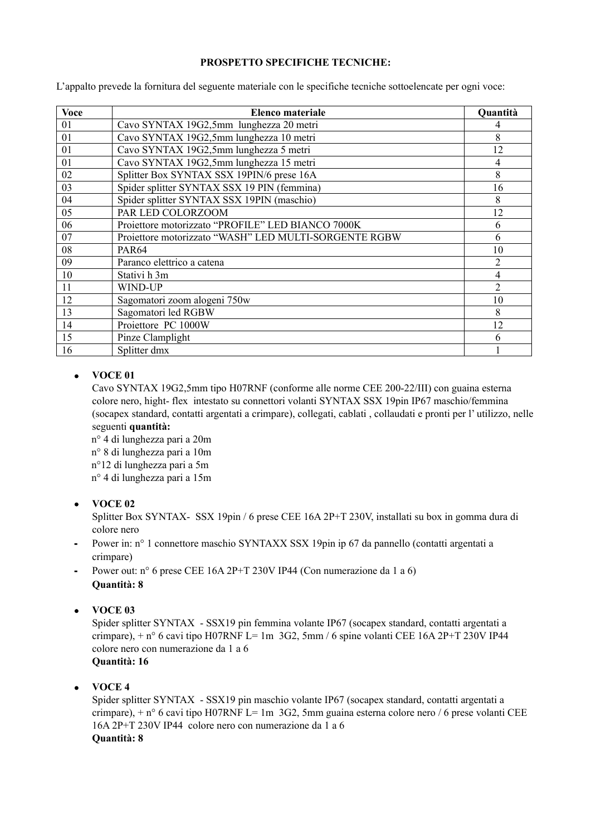## **PROSPETTO SPECIFICHE TECNICHE:**

L'appalto prevede la fornitura del seguente materiale con le specifiche tecniche sottoelencate per ogni voce:

| <b>Voce</b> | Elenco materiale                                      | Quantità       |
|-------------|-------------------------------------------------------|----------------|
| 01          | Cavo SYNTAX 19G2,5mm lunghezza 20 metri               |                |
| 01          | Cavo SYNTAX 19G2,5mm lunghezza 10 metri               | 8              |
| 01          | Cavo SYNTAX 19G2,5mm lunghezza 5 metri                | 12             |
| 01          | Cavo SYNTAX 19G2,5mm lunghezza 15 metri               | 4              |
| 02          | Splitter Box SYNTAX SSX 19PIN/6 prese 16A             | 8              |
| 03          | Spider splitter SYNTAX SSX 19 PIN (femmina)           | 16             |
| 04          | Spider splitter SYNTAX SSX 19PIN (maschio)            | 8              |
| 05          | PAR LED COLORZOOM                                     | 12             |
| 06          | Proiettore motorizzato "PROFILE" LED BIANCO 7000K     | 6              |
| 07          | Proiettore motorizzato "WASH" LED MULTI-SORGENTE RGBW | 6              |
| 08          | <b>PAR64</b>                                          | 10             |
| 09          | Paranco elettrico a catena                            | $\overline{2}$ |
| 10          | Stativi h 3m                                          | 4              |
| 11          | WIND-UP                                               | $\overline{2}$ |
| 12          | Sagomatori zoom alogeni 750w                          | 10             |
| 13          | Sagomatori led RGBW                                   | 8              |
| 14          | Proiettore PC 1000W                                   | 12             |
| 15          | Pinze Clamplight                                      | 6              |
| 16          | Splitter dmx                                          |                |

# **VOCE 01**

Cavo SYNTAX 19G2,5mm tipo H07RNF (conforme alle norme CEE 200-22/III) con guaina esterna colore nero, hight- flex intestato su connettori volanti SYNTAX SSX 19pin IP67 maschio/femmina (socapex standard, contatti argentati a crimpare), collegati, cablati , collaudati e pronti per l' utilizzo, nelle seguenti **quantità:**

n° 4 di lunghezza pari a 20m n° 8 di lunghezza pari a 10m n°12 di lunghezza pari a 5m n° 4 di lunghezza pari a 15m

# **VOCE 02**

Splitter Box SYNTAX- SSX 19pin / 6 prese CEE 16A 2P+T 230V, installati su box in gomma dura di colore nero

Power in: n° 1 connettore maschio SYNTAXX SSX 19pin ip 67 da pannello (contatti argentati a crimpare)

Power out: n° 6 prese CEE 16A 2P+T 230V IP44 (Con numerazione da 1 a 6) **Quantità: 8** 

**VOCE 03**

Spider splitter SYNTAX - SSX19 pin femmina volante IP67 (socapex standard, contatti argentati a crimpare),  $+n^{\circ}$  6 cavi tipo H07RNF L= 1m 3G2, 5mm / 6 spine volanti CEE 16A 2P+T 230V IP44 colore nero con numerazione da 1 a 6 **Quantità: 16** 

**VOCE 4**

Spider splitter SYNTAX - SSX19 pin maschio volante IP67 (socapex standard, contatti argentati a crimpare),  $+ n^{\circ}$  6 cavi tipo H07RNF L= 1m 3G2, 5mm guaina esterna colore nero / 6 prese volanti CEE 16A 2P+T 230V IP44 colore nero con numerazione da 1 a 6 **Quantità: 8**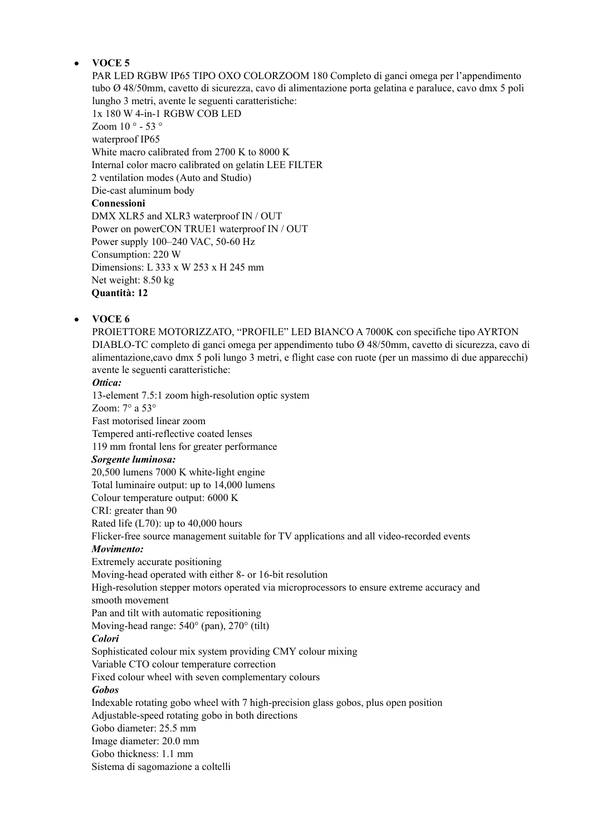# **VOCE 5**

PAR LED RGBW IP65 TIPO OXO COLORZOOM 180 Completo di ganci omega per l'appendimento tubo Ø 48/50mm, cavetto di sicurezza, cavo di alimentazione porta gelatina e paraluce, cavo dmx 5 poli lungho 3 metri, avente le seguenti caratteristiche: 1x 180 W 4-in-1 RGBW COB LED Zoom 10 ° - 53 ° waterproof IP65 White macro calibrated from 2700 K to 8000 K Internal color macro calibrated on gelatin LEE FILTER 2 ventilation modes (Auto and Studio) Die-cast aluminum body **Connessioni** DMX XLR5 and XLR3 waterproof IN / OUT Power on powerCON TRUE1 waterproof IN / OUT Power supply 100–240 VAC, 50-60 Hz Consumption: 220 W Dimensions: L 333 x W 253 x H 245 mm Net weight: 8.50 kg **Quantità: 12** 

# **VOCE 6**

PROIETTORE MOTORIZZATO, "PROFILE" LED BIANCO A 7000K con specifiche tipo AYRTON DIABLO-TC completo di ganci omega per appendimento tubo Ø 48/50mm, cavetto di sicurezza, cavo di alimentazione,cavo dmx 5 poli lungo 3 metri, e flight case con ruote (per un massimo di due apparecchi) avente le seguenti caratteristiche:

## *Ottica:*

13-element 7.5:1 zoom high-resolution optic system Zoom: 7° a 53° Fast motorised linear zoom Tempered anti-reflective coated lenses 119 mm frontal lens for greater performance *Sorgente luminosa:* 20,500 lumens 7000 K white-light engine Total luminaire output: up to 14,000 lumens Colour temperature output: 6000 K CRI: greater than 90 Rated life (L70): up to 40,000 hours Flicker-free source management suitable for TV applications and all video-recorded events *Movimento:* Extremely accurate positioning Moving-head operated with either 8- or 16-bit resolution High-resolution stepper motors operated via microprocessors to ensure extreme accuracy and smooth movement Pan and tilt with automatic repositioning Moving-head range: 540° (pan), 270° (tilt) *Colori* Sophisticated colour mix system providing CMY colour mixing Variable CTO colour temperature correction Fixed colour wheel with seven complementary colours *Gobos* Indexable rotating gobo wheel with 7 high-precision glass gobos, plus open position Adjustable-speed rotating gobo in both directions Gobo diameter: 25.5 mm Image diameter: 20.0 mm Gobo thickness: 1.1 mm Sistema di sagomazione a coltelli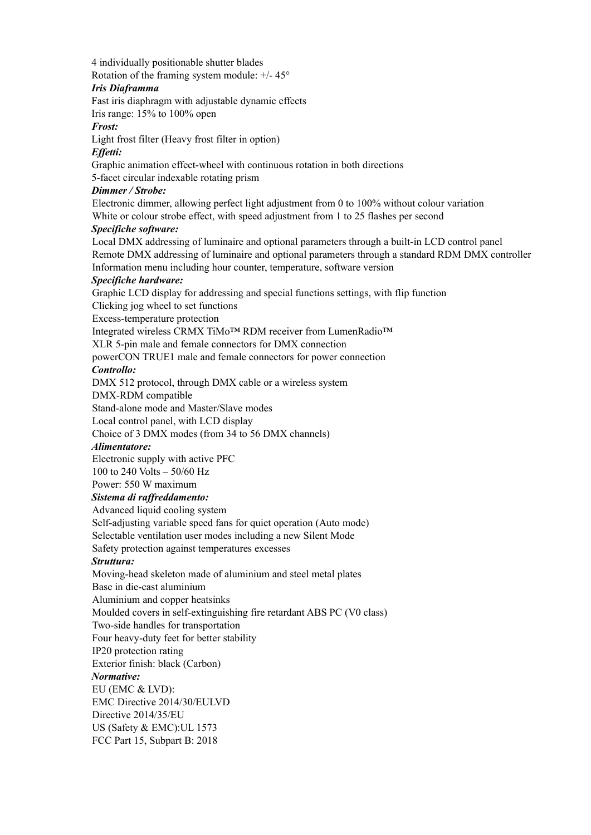4 individually positionable shutter blades Rotation of the framing system module: +/- 45°

#### *Iris Diaframma*

Fast iris diaphragm with adjustable dynamic effects

Iris range: 15% to 100% open

# *Frost:*

Light frost filter (Heavy frost filter in option)

#### *Effetti:*

Graphic animation effect-wheel with continuous rotation in both directions

5-facet circular indexable rotating prism

# *Dimmer / Strobe:*

Electronic dimmer, allowing perfect light adjustment from 0 to 100% without colour variation White or colour strobe effect, with speed adjustment from 1 to 25 flashes per second

## *Specifiche software:*

Local DMX addressing of luminaire and optional parameters through a built-in LCD control panel Remote DMX addressing of luminaire and optional parameters through a standard RDM DMX controller Information menu including hour counter, temperature, software version

## *Specifiche hardware:*

Graphic LCD display for addressing and special functions settings, with flip function

Clicking jog wheel to set functions

Excess-temperature protection

Integrated wireless CRMX TiMo™ RDM receiver from LumenRadio™

XLR 5-pin male and female connectors for DMX connection

powerCON TRUE1 male and female connectors for power connection

## *Controllo:*

DMX 512 protocol, through DMX cable or a wireless system

DMX-RDM compatible

Stand-alone mode and Master/Slave modes

Local control panel, with LCD display

Choice of 3 DMX modes (from 34 to 56 DMX channels)

## *Alimentatore:*

Electronic supply with active PFC

100 to 240 Volts – 50/60 Hz

# Power: 550 W maximum

# *Sistema di raffreddamento:*

Advanced liquid cooling system Self-adjusting variable speed fans for quiet operation (Auto mode) Selectable ventilation user modes including a new Silent Mode

Safety protection against temperatures excesses

## *Struttura:*

Moving-head skeleton made of aluminium and steel metal plates Base in die-cast aluminium Aluminium and copper heatsinks Moulded covers in self-extinguishing fire retardant ABS PC (V0 class) Two-side handles for transportation Four heavy-duty feet for better stability IP20 protection rating Exterior finish: black (Carbon) *Normative:* EU (EMC & LVD): EMC Directive 2014/30/EULVD Directive 2014/35/EU

US (Safety & EMC):UL 1573

FCC Part 15, Subpart B: 2018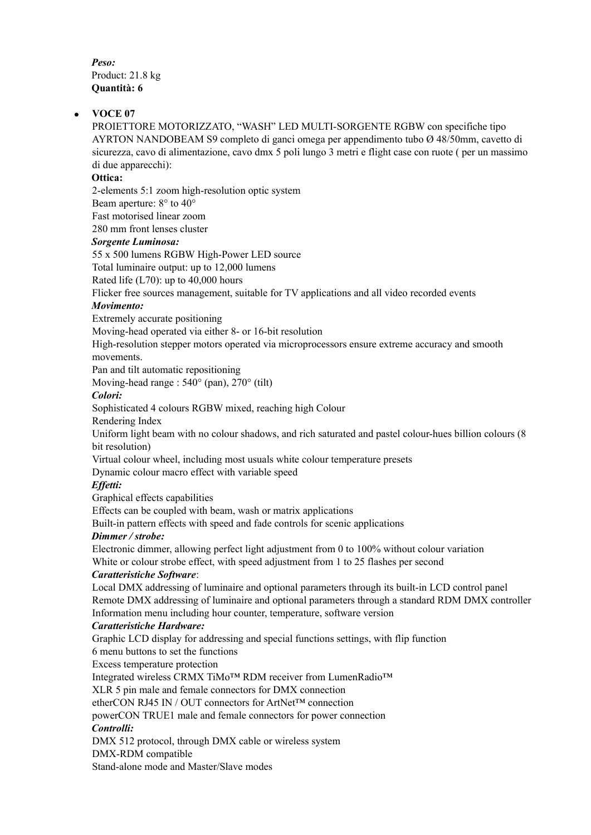*Peso:* Product: 21.8 kg **Quantità: 6** 

#### **VOCE 07**

PROIETTORE MOTORIZZATO, "WASH" LED MULTI-SORGENTE RGBW con specifiche tipo AYRTON NANDOBEAM S9 completo di ganci omega per appendimento tubo Ø 48/50mm, cavetto di sicurezza, cavo di alimentazione, cavo dmx 5 poli lungo 3 metri e flight case con ruote ( per un massimo di due apparecchi):

#### **Ottica:**

2-elements 5:1 zoom high-resolution optic system

Beam aperture: 8° to 40°

Fast motorised linear zoom

280 mm front lenses cluster

#### *Sorgente Luminosa:*

55 x 500 lumens RGBW High-Power LED source

Total luminaire output: up to 12,000 lumens

Rated life (L70): up to 40,000 hours

Flicker free sources management, suitable for TV applications and all video recorded events

#### *Movimento:*

Extremely accurate positioning

Moving-head operated via either 8- or 16-bit resolution

High-resolution stepper motors operated via microprocessors ensure extreme accuracy and smooth movements.

Pan and tilt automatic repositioning

Moving-head range : 540° (pan), 270° (tilt)

#### *Colori:*

Sophisticated 4 colours RGBW mixed, reaching high Colour

Rendering Index

Uniform light beam with no colour shadows, and rich saturated and pastel colour-hues billion colours (8 bit resolution)

Virtual colour wheel, including most usuals white colour temperature presets

Dynamic colour macro effect with variable speed

## *Effetti:*

Graphical effects capabilities

Effects can be coupled with beam, wash or matrix applications

Built-in pattern effects with speed and fade controls for scenic applications

## *Dimmer / strobe:*

Electronic dimmer, allowing perfect light adjustment from 0 to 100% without colour variation White or colour strobe effect, with speed adjustment from 1 to 25 flashes per second

#### *Caratteristiche Software*:

Local DMX addressing of luminaire and optional parameters through its built-in LCD control panel Remote DMX addressing of luminaire and optional parameters through a standard RDM DMX controller Information menu including hour counter, temperature, software version

## *Caratteristiche Hardware:*

Graphic LCD display for addressing and special functions settings, with flip function

6 menu buttons to set the functions

Excess temperature protection

Integrated wireless CRMX TiMo™ RDM receiver from LumenRadio™

XLR 5 pin male and female connectors for DMX connection

etherCON RJ45 IN / OUT connectors for ArtNet™ connection

powerCON TRUE1 male and female connectors for power connection

# *Controlli:*

DMX 512 protocol, through DMX cable or wireless system

DMX-RDM compatible

Stand-alone mode and Master/Slave modes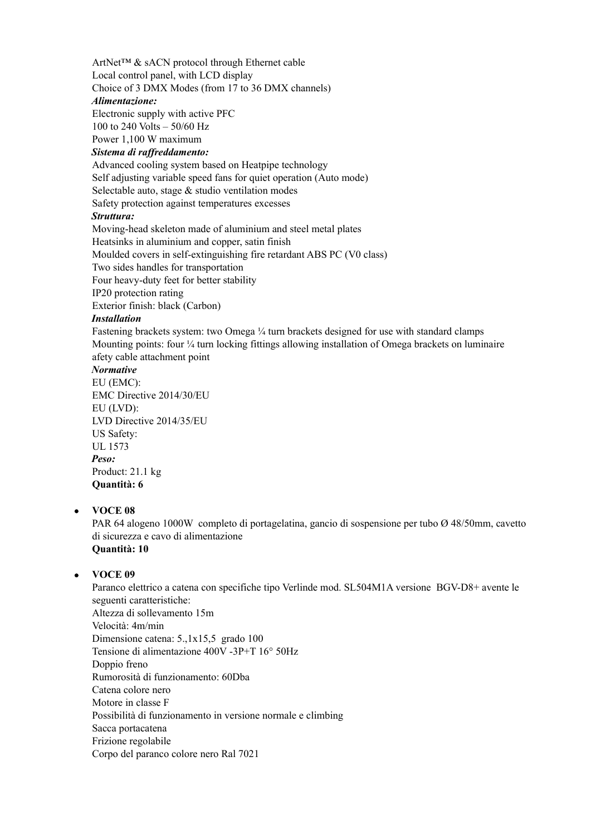ArtNet™ & sACN protocol through Ethernet cable Local control panel, with LCD display Choice of 3 DMX Modes (from 17 to 36 DMX channels)

#### *Alimentazione:*

Electronic supply with active PFC

100 to 240 Volts – 50/60 Hz

Power 1,100 W maximum

*Sistema di raffreddamento:*

Advanced cooling system based on Heatpipe technology Self adjusting variable speed fans for quiet operation (Auto mode) Selectable auto, stage & studio ventilation modes Safety protection against temperatures excesses

# *Struttura:*

Moving-head skeleton made of aluminium and steel metal plates Heatsinks in aluminium and copper, satin finish Moulded covers in self-extinguishing fire retardant ABS PC (V0 class) Two sides handles for transportation Four heavy-duty feet for better stability IP20 protection rating Exterior finish: black (Carbon)

*Installation*

Fastening brackets system: two Omega ¼ turn brackets designed for use with standard clamps Mounting points: four ¼ turn locking fittings allowing installation of Omega brackets on luminaire afety cable attachment point

# *Normative*

EU (EMC): EMC Directive 2014/30/EU EU (LVD): LVD Directive 2014/35/EU US Safety: UL 1573 *Peso:* Product: 21.1 kg **Quantità: 6** 

# **VOCE 08**

PAR 64 alogeno 1000W completo di portagelatina, gancio di sospensione per tubo Ø 48/50mm, cavetto di sicurezza e cavo di alimentazione **Quantità: 10**

# **VOCE 09**

Paranco elettrico a catena con specifiche tipo Verlinde mod. SL504M1A versione BGV-D8+ avente le seguenti caratteristiche: Altezza di sollevamento 15m Velocità: 4m/min Dimensione catena: 5.,1x15,5 grado 100 Tensione di alimentazione 400V -3P+T 16° 50Hz Doppio freno Rumorosità di funzionamento: 60Dba Catena colore nero Motore in classe F Possibilità di funzionamento in versione normale e climbing Sacca portacatena Frizione regolabile Corpo del paranco colore nero Ral 7021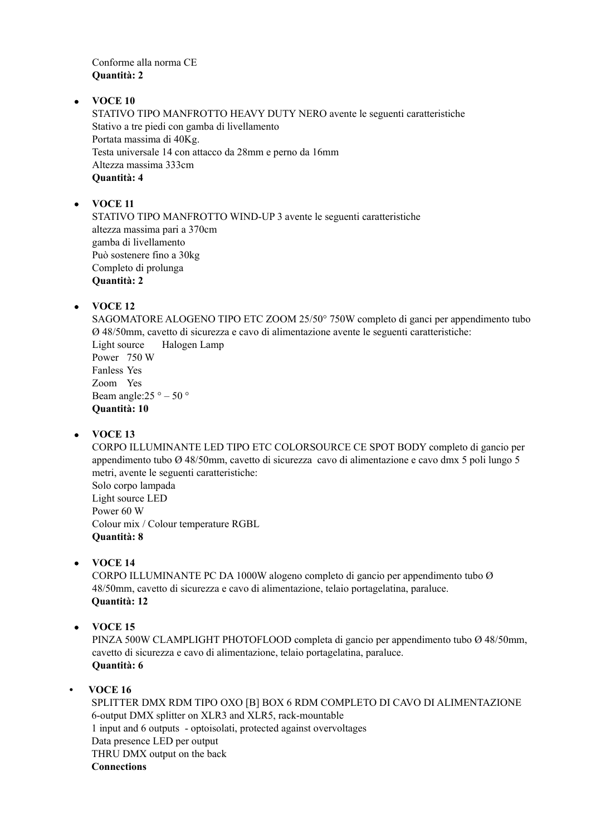Conforme alla norma CE **Quantità: 2**

# **VOCE 10**

STATIVO TIPO MANFROTTO HEAVY DUTY NERO avente le seguenti caratteristiche Stativo a tre piedi con gamba di livellamento Portata massima di 40Kg. Testa universale 14 con attacco da 28mm e perno da 16mm Altezza massima 333cm **Quantità: 4** 

# **VOCE 11**

STATIVO TIPO MANFROTTO WIND-UP 3 avente le seguenti caratteristiche altezza massima pari a 370cm gamba di livellamento Può sostenere fino a 30kg Completo di prolunga **Quantità: 2** 

# **VOCE 12**

SAGOMATORE ALOGENO TIPO ETC ZOOM 25/50° 750W completo di ganci per appendimento tubo Ø 48/50mm, cavetto di sicurezza e cavo di alimentazione avente le seguenti caratteristiche: Light source Halogen Lamp Power 750 W Fanless Yes Zoom Yes Beam angle:25  $\degree$  – 50  $\degree$ **Quantità: 10**

## **VOCE 13**

CORPO ILLUMINANTE LED TIPO ETC COLORSOURCE CE SPOT BODY completo di gancio per appendimento tubo Ø 48/50mm, cavetto di sicurezza cavo di alimentazione e cavo dmx 5 poli lungo 5 metri, avente le seguenti caratteristiche: Solo corpo lampada Light source LED Power 60 W Colour mix / Colour temperature RGBL **Quantità: 8** 

**VOCE 14**

CORPO ILLUMINANTE PC DA 1000W alogeno completo di gancio per appendimento tubo Ø 48/50mm, cavetto di sicurezza e cavo di alimentazione, telaio portagelatina, paraluce. **Quantità: 12** 

**VOCE 15**

PINZA 500W CLAMPLIGHT PHOTOFLOOD completa di gancio per appendimento tubo Ø 48/50mm, cavetto di sicurezza e cavo di alimentazione, telaio portagelatina, paraluce. **Quantità: 6** 

## **• VOCE 16**

SPLITTER DMX RDM TIPO OXO [B] BOX 6 RDM COMPLETO DI CAVO DI ALIMENTAZIONE 6-output DMX splitter on XLR3 and XLR5, rack-mountable 1 input and 6 outputs - optoisolati, protected against overvoltages Data presence LED per output THRU DMX output on the back **Connections**